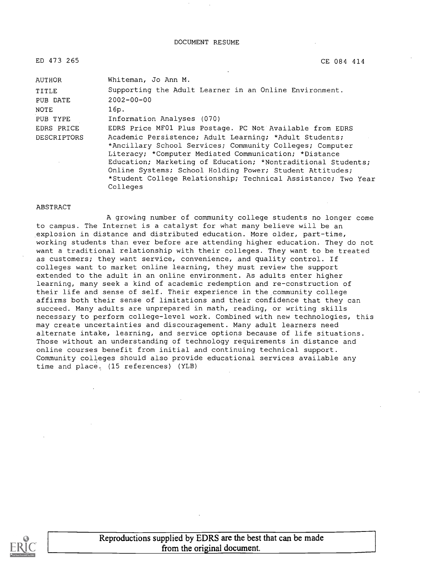| $\sim$<br>CE 084 414                                          |
|---------------------------------------------------------------|
| Whiteman, Jo Ann M.                                           |
| Supporting the Adult Learner in an Online Environment.        |
| $2002 - 00 - 00$                                              |
| 16p.                                                          |
| Information Analyses (070)                                    |
| EDRS Price MF01 Plus Postage. PC Not Available from EDRS      |
| Academic Persistence; Adult Learning; *Adult Students;        |
| *Ancillary School Services; Community Colleges; Computer      |
| Literacy; *Computer Mediated Communication; *Distance         |
| Education; Marketing of Education; *Nontraditional Students;  |
| Online Systems; School Holding Power; Student Attitudes;      |
| *Student College Relationship; Technical Assistance; Two Year |
|                                                               |

#### ABSTRACT

Colleges

A growing number of community college students no longer come to campus. The Internet is a catalyst for what many believe will be an explosion in distance and distributed education. More older, part-time, working students than ever before are attending higher education. They do not want a traditional relationship with their colleges. They want to be treated as customers; they want service, convenience, and quality control. If colleges want to market online learning, they must review the support extended to the adult in an online environment. As adults enter higher learning, many seek a kind of academic redemption and re-construction of their life and sense of self. Their experience in the community college affirms both their sense of limitations and their confidence that they can succeed. Many adults are unprepared in math, reading, or writing skills necessary to perform college-level work. Combined with new technologies, this may create uncertainties and discouragement. Many adult learners need alternate intake, learning, and service options because of life situations. Those without an understanding of technology requirements in distance and online courses benefit from initial and continuing technical support. Community colleges should also provide educational services available any time and place, (15 references) (YLB)



Reproductions supplied by EDRS are the best that can be made from the original document.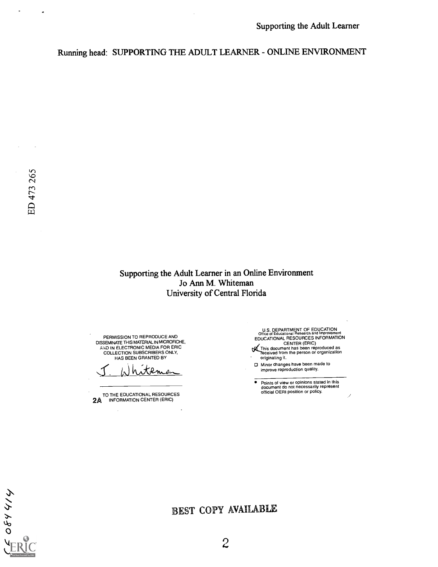Running head: SUPPORTING THE ADULT LEARNER - ONLINE ENVIRONMENT

 $\sim$ 

 $\mathbf{r}$ 

 $\tilde{\phantom{a}}$ 

Supporting the Adult Learner in an Online Environment Jo Ann M. Whiteman University of Central Florida

PERMISSION TO REPRODUCE AND DISSEMINATE THIS MATERIAL IN MICROFICHE, AND IN ELECTRONIC MEDIA FOR ERIC COLLECTION SUBSCRIBERS ONLY, HAS BEEN GRANTED BY

hitema

TO THE EDUCATIONAL RESOURCES<br>2A INFORMATION CENTER (ERIC)

U.S. DEPARTMENT OF EDUCATION<br>
EDUCATIONAL RESOURCES INFORMATION<br>
CENTER (ERIC)<br>
CENTER (ERIC)<br>
This document has been reproduced as<br>
Teceived from the person or organization<br>
originating it.

- $\mathcal{L}^{\mathcal{L}}$ 
	- Minor changes have been made to improve reproduction quality.
- $\bar{\bullet}$ Points of view or opinions stated in this document do not necessarily represent official OERI position or policy.



# BEST COPY AVAILABLE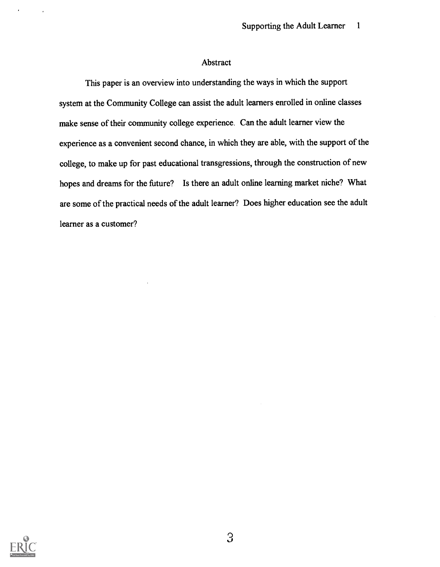## Abstract

This paper is an overview into understanding the ways in which the support system at the Community College can assist the adult learners enrolled in online classes make sense of their community college experience. Can the adult learner view the experience as a convenient second chance, in which they are able, with the support of the college, to make up for past educational transgressions, through the construction of new hopes and dreams for the future? Is there an adult online learning market niche? What are some of the practical needs of the adult learner? Does higher education see the adult learner as a customer?



 $\overline{1}$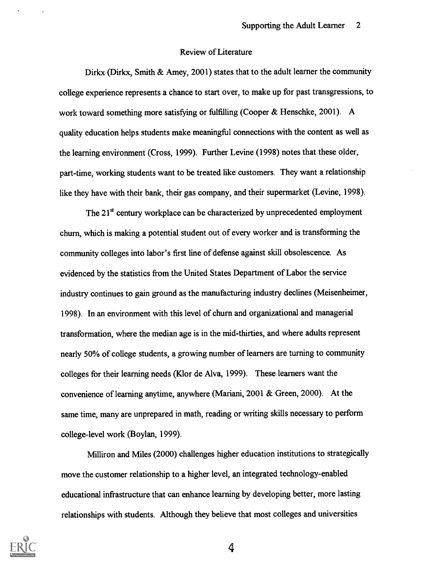#### Review of Literature

Dirkx (Dirkx, Smith & Amey, 2001) states that to the adult learner the community college experience represents a chance to start over, to make up for past transgressions, to work toward something more satisfying or fulfilling (Cooper & Henschke, 2001). A quality education helps students make meaningful connections with the content as well as the learning environment (Cross, 1999). Further Levine (1998) notes that these older, part-time, working students want to be treated like customers. They want a relationship like they have with their bank, their gas company, and their supermarket (Levine, 1998).

The  $21<sup>st</sup>$  century workplace can be characterized by unprecedented employment churn, which is making a potential student out of every worker and is transforming the community colleges into labor's first line of defense against skill obsolescence. As evidenced by the statistics from the United States Department of Labor the service industry continues to gain ground as the manufacturing industry declines (Meisenheimer, 1998). In an environment with this level of churn and organizational and managerial transformation, where the median age is in the mid-thirties, and where adults represent nearly 50% of college students, a growing number of learners are turning to community colleges for their learning needs (Klor de Alva, 1999). These learners want the convenience of learning anytime, anywhere (Mariani, 2001 & Green, 2000). At the same time, many are unprepared in math, reading or writing skills necessary to perform college-level work (Boylan, 1999).

Milliron and Miles (2000) challenges higher education institutions to strategically move the customer relationship to a higher level, an integrated technology-enabled educational infrastructure that can enhance learning by developing better, more lasting relationships with students. Although they believe that most colleges and universities

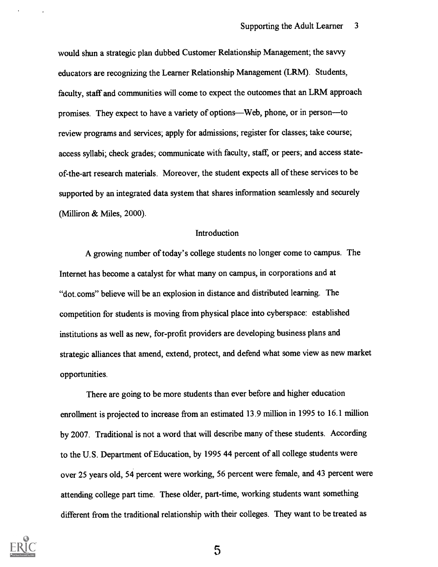would shun a strategic plan dubbed Customer Relationship Management; the savvy educators are recognizing the Learner Relationship Management (LRM). Students, faculty, staff and communities will come to expect the outcomes that an LRM approach promises. They expect to have a variety of options—Web, phone, or in person—to review programs and services; apply for admissions; register for classes; take course; access syllabi; check grades; communicate with faculty, staff, or peers; and access stateof-the-art research materials. Moreover, the student expects all of these services to be supported by an integrated data system that shares information seamlessly and securely (Milliron & Miles, 2000).

#### Introduction

A growing number of today's college students no longer come to campus. The Internet has become a catalyst for what many on campus, in corporations and at "dot.coms" believe will be an explosion in distance and distributed learning. The competition for students is moving from physical place into cyberspace: established institutions as well as new, for-profit providers are developing business plans and strategic alliances that amend, extend, protect, and defend what some view as new market opportunities.

There are going to be more students than ever before and higher education enrollment is projected to increase from an estimated 13.9 million in 1995 to 16.1 million by 2007. Traditional is not a word that will describe many of these students. According to the U.S. Department of Education, by 1995 44 percent of all college students were over 25 years old, 54 percent were working, 56 percent were female, and 43 percent were attending college part time. These older, part-time, working students want something different from the traditional relationship with their colleges. They want to be treated as

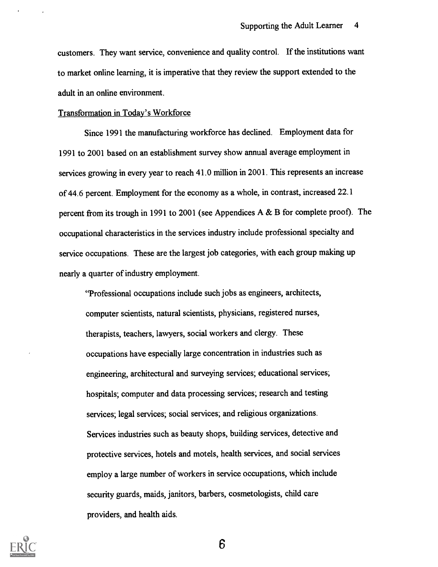customers. They want service, convenience and quality control. If the institutions want to market online learning, it is imperative that they review the support extended to the adult in an online environment.

## Transformation in Today's Workforce

Since 1991 the manufacturing workforce has declined. Employment data for 1991 to 2001 based on an establishment survey show annual average employment in services growing in every year to reach 41.0 million in 2001. This represents an increase of 44.6 percent. Employment for the economy as a whole, in contrast, increased 22.1 percent from its trough in 1991 to 2001 (see Appendices A & B for complete proof). The occupational characteristics in the services industry include professional specialty and service occupations. These are the largest job categories, with each group making up nearly a quarter of industry employment.

"Professional occupations include such jobs as engineers, architects, computer scientists, natural scientists, physicians, registered nurses, therapists, teachers, lawyers, social workers and clergy. These occupations have especially large concentration in industries such as engineering, architectural and surveying services; educational services; hospitals; computer and data processing services; research and testing services; legal services; social services; and religious organizations. Services industries such as beauty shops, building services, detective and protective services, hotels and motels, health services, and social services employ a large number of workers in service occupations, which include security guards, maids, janitors, barbers, cosmetologists, child care providers, and health aids.

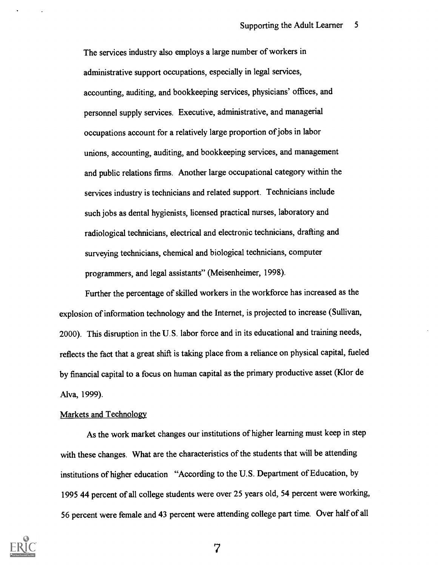The services industry also employs a large number of workers in administrative support occupations, especially in legal services, accounting, auditing, and bookkeeping services, physicians' offices, and personnel supply services. Executive, administrative, and managerial occupations account for a relatively large proportion of jobs in labor unions, accounting, auditing, and bookkeeping services, and management and public relations firms. Another large occupational category within the services industry is technicians and related support. Technicians include such jobs as dental hygienists, licensed practical nurses, laboratory and radiological technicians, electrical and electronic technicians, drafting and surveying technicians, chemical and biological technicians, computer programmers, and legal assistants" (Meisenheimer, 1998).

Further the percentage of skilled workers in the workforce has increased as the explosion of information technology and the Internet, is projected to increase (Sullivan, 2000). This disruption in the U.S. labor force and in its educational and training needs, reflects the fact that a great shift is taking place from a reliance on physical capital, fueled by financial capital to a focus on human capital as the primary productive asset (Klor de Alva, 1999).

#### Markets and Technology

As the work market changes our institutions of higher learning must keep in step with these changes. What are the characteristics of the students that will be attending institutions of higher education "According to the U.S. Department of Education, by 1995 44 percent of all college students were over 25 years old, 54 percent were working, 56 percent were female and 43 percent were attending college part time. Over half of all

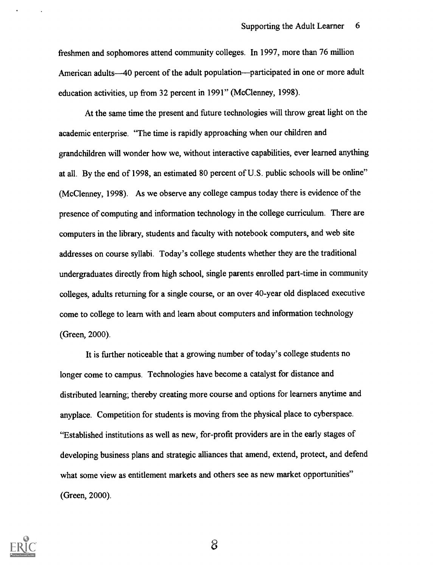freshmen and sophomores attend community colleges. In 1997, more than 76 million American adults—40 percent of the adult population—participated in one or more adult education activities, up from 32 percent in 1991" (McClenney, 1998).

At the same time the present and future technologies will throw great light on the academic enterprise. "The time is rapidly approaching when our children and grandchildren will wonder how we, without interactive capabilities, ever learned anything at all. By the end of 1998, an estimated 80 percent of U.S. public schools will be online" (McClenney, 1998). As we observe any college campus today there is evidence of the presence of computing and information technology in the college curriculum. There are computers in the library, students and faculty with notebook computers, and web site addresses on course syllabi. Today's college students whether they are the traditional undergraduates directly from high school, single parents enrolled part-time in community colleges, adults returning for a single course, or an over 40-year old displaced executive come to college to learn with and learn about computers and information technology (Green, 2000).

It is further noticeable that a growing number of today's college students no longer come to campus. Technologies have become a catalyst for distance and distributed learning; thereby creating more course and options for learners anytime and anyplace. Competition for students is moving from the physical place to cyberspace. "Established institutions as well as new, for-profit providers are in the early stages of developing business plans and strategic alliances that amend, extend, protect, and defend what some view as entitlement markets and others see as new market opportunities" (Green, 2000).

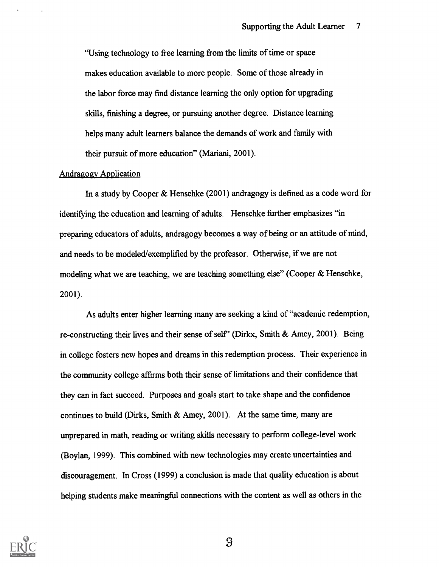"Using technology to free learning from the limits of time or space makes education available to more people. Some of those already in the labor force may find distance learning the only option for upgrading skills, finishing a degree, or pursuing another degree. Distance learning helps many adult learners balance the demands of work and family with their pursuit of more education" (Mariani, 2001).

### Andragogy Application

In a study by Cooper & Henschke (2001) andragogy is defined as a code word for identifying the education and learning of adults. Henschke further emphasizes "in preparing educators of adults, andragogy becomes a way of being or an attitude of mind, and needs to be modeled/exemplified by the professor. Otherwise, if we are not modeling what we are teaching, we are teaching something else" (Cooper & Henschke, 2001).

As adults enter higher learning many are seeking a kind of "academic redemption, re-constructing their lives and their sense of self' (Dirkx, Smith & Amey, 2001). Being in college fosters new hopes and dreams in this redemption process. Their experience in the community college affirms both their sense of limitations and their confidence that they can in fact succeed. Purposes and goals start to take shape and the confidence continues to build (Dirks, Smith & Amey, 2001). At the same time, many are unprepared in math, reading or writing skills necessary to perform college-level work (Boylan, 1999). This combined with new technologies may create uncertainties and discouragement. In Cross (1999) a conclusion is made that quality education is about helping students make meaningful connections with the content as well as others in the

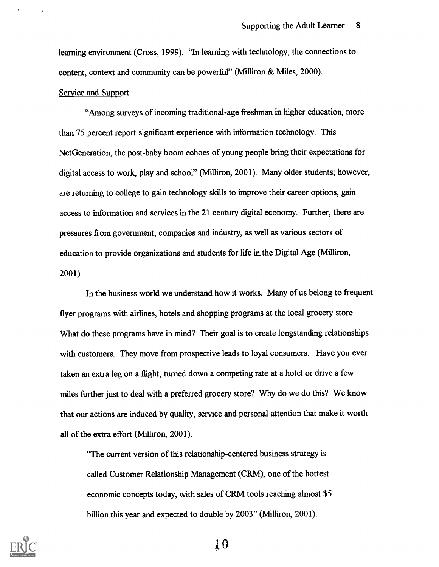learning environment (Cross, 1999). "In learning with technology, the connections to content, context and community can be powerful" (Milliron & Miles, 2000).

#### Service and Support

"Among surveys of incoming traditional-age freshman in higher education, more than 75 percent report significant experience with information technology. This NetGeneration, the post-baby boom echoes of young people bring their expectations for digital access to work, play and school" (Milliron, 2001). Many older students; however, are returning to college to gain technology skills to improve their career options, gain access to information and services in the 21 century digital economy. Further, there are pressures from government, companies and industry, as well as various sectors of education to provide organizations and students for life in the Digital Age (Milliron, 2001).

In the business world we understand how it works. Many of us belong to frequent flyer programs with airlines, hotels and shopping programs at the local grocery store. What do these programs have in mind? Their goal is to create longstanding relationships with customers. They move from prospective leads to loyal consumers. Have you ever taken an extra leg on a flight, turned down a competing rate at a hotel or drive a few miles further just to deal with a preferred grocery store? Why do we do this? We know that our actions are induced by quality, service and personal attention that make it worth all of the extra effort (Milliron, 2001).

"The current version of this relationship-centered business strategy is called Customer Relationship Management (CRM), one of the hottest economic concepts today, with sales of CRM tools reaching almost \$5 billion this year and expected to double by 2003" (Milliron, 2001).



1.0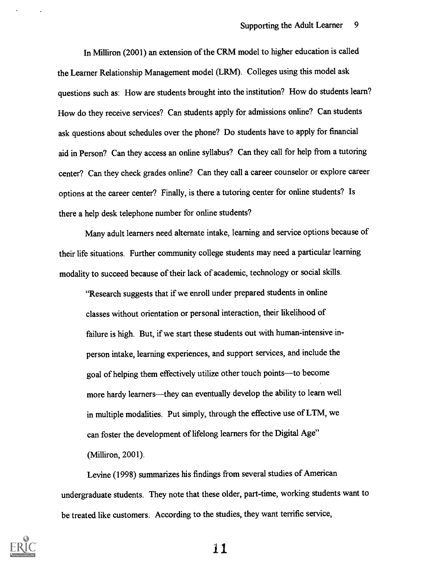In Milliron (2001) an extension of the CRM model to higher education is called the Learner Relationship Management model (LRM). Colleges using this model ask questions such as: How are students brought into the institution? How do students learn? How do they receive services? Can students apply for admissions online? Can students ask questions about schedules over the phone? Do students have to apply for financial aid in Person? Can they access an online syllabus? Can they call for help from a tutoring center? Can they check grades online? Can they call a career counselor or explore career options at the career center? Finally, is there a tutoring center for online students? Is there a help desk telephone number for online students?

Many adult learners need alternate intake, learning and service options because of their life situations. Further community college students may need a particular learning modality to succeed because of their lack of academic, technology or social skills.

"Research suggests that if we enroll under prepared students in online classes without orientation or personal interaction, their likelihood of failure is high. But, if we start these students out with human-intensive inperson intake, learning experiences, and support services, and include the goal of helping them effectively utilize other touch points-to become more hardy learners—they can eventually develop the ability to learn well in multiple modalities. Put simply, through the effective use of LTM, we can foster the development of lifelong learners for the Digital Age" (Milliron, 2001).

Levine (1998) summarizes his findings from several studies of American undergraduate students. They note that these older, part-time, working students want to be treated like customers. According to the studies, they want terrific service,



ii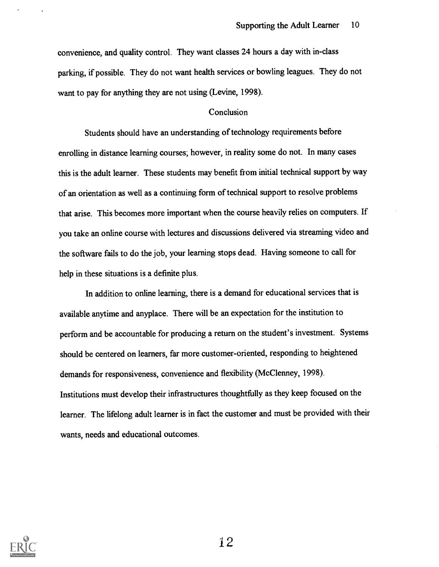convenience, and quality control. They want classes 24 hours a day with in-class parking, if possible. They do not want health services or bowling leagues. They do not want to pay for anything they are not using (Levine, 1998).

## Conclusion

Students should have an understanding of technology requirements before enrolling in distance learning courses; however, in reality some do not. In many cases this is the adult learner. These students may benefit from initial technical support by way of an orientation as well as a continuing form of technical support to resolve problems that arise. This becomes more important when the course heavily relies on computers. If you take an online course with lectures and discussions delivered via streaming video and the software fails to do the job, your learning stops dead. Having someone to call for help in these situations is a definite plus.

In addition to online learning, there is a demand for educational services that is available anytime and anyplace. There will be an expectation for the institution to perform and be accountable for producing a return on the student's investment. Systems should be centered on learners, far more customer-oriented, responding to heightened demands for responsiveness, convenience and flexibility (McClenney, 1998). Institutions must develop their infrastructures thoughtfully as they keep focused on the learner. The lifelong adult learner is in fact the customer and must be provided with their wants, needs and educational outcomes.

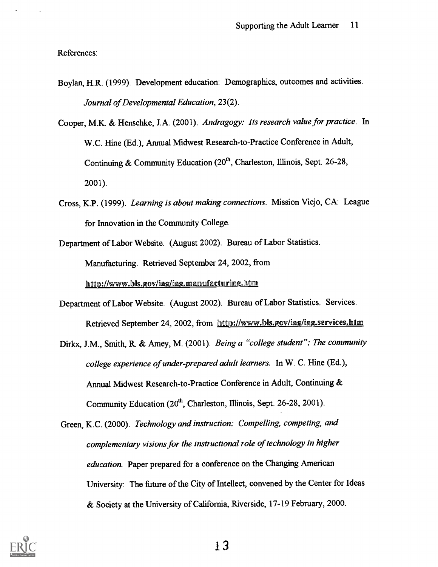References:

- Boylan, H.R. (1999). Development education: Demographics, outcomes and activities. Journal of Developmental Education, 23(2).
- Cooper, M.K. & Henschke, J.A. (2001). Andragogy: Its research value for practice. In W.C. Hine (Ed.), Annual Midwest Research-to-Practice Conference in Adult, Continuing & Community Education  $(20<sup>th</sup>,$  Charleston, Illinois, Sept. 26-28, 2001).
- Cross, K.P. (1999). Learning is about making connections. Mission Viejo, CA: League for Innovation in the Community College.
- Department of Labor Website. (August 2002). Bureau of Labor Statistics. Manufacturing. Retrieved September 24, 2002, from http://www.bls.gov/iag/iag.manufacturing.htm
- Department of Labor Website. (August 2002). Bureau of Labor Statistics. Services. Retrieved September 24, 2002, from http://www.bb.gov/ing/iag.services.htm
- Dirkx, J.M., Smith, R. & Amey, M. (2001). Being a "college student"; The community college experience of under-prepared adult learners. In W. C. Hine (Ed.), Annual Midwest Research-to-Practice Conference in Adult, Continuing & Community Education (20<sup>th</sup>, Charleston, Illinois, Sept. 26-28, 2001).
- Green, K.C. (2000). Technology and instruction: Compelling, competing, and complementary visions for the instructional role of technology in higher education. Paper prepared for a conference on the Changing American University: The future of the City of Intellect, convened by the Center for Ideas & Society at the University of California, Riverside, 17-19 February, 2000.

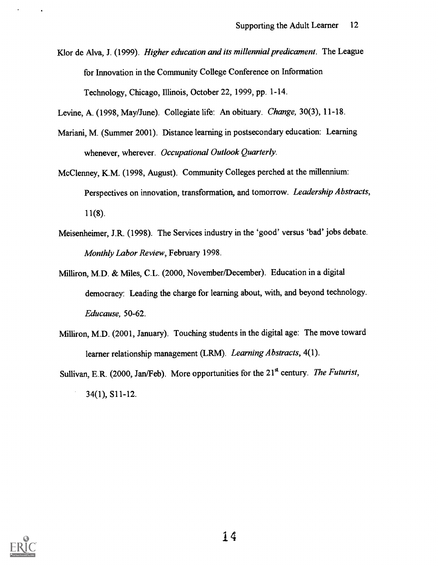Klor de Alva, J. (1999). Higher education and its millennial predicament. The League for Innovation in the Community College Conference on Information Technology, Chicago, Illinois, October 22, 1999, pp. 1-14.

Levine, A. (1998, May/June). Collegiate life: An obituary. Change, 30(3), 11-18.

- Mariani, M. (Summer 2001). Distance learning in postsecondary education: Learning whenever, wherever. Occupational Outlook Quarterly.
- McClenney, K.M. (1998, August). Community Colleges perched at the millennium: Perspectives on innovation, transformation, and tomorrow. Leadership Abstracts, 11(8).
- Meisenheimer, J.R. (1998). The Services industry in the 'good' versus 'bad' jobs debate. Monthly Labor Review, February 1998.
- Milliron, M.D. & Miles, C.L. (2000, November/December). Education in a digital democracy: Leading the charge for learning about, with, and beyond technology. Educause, 50-62.
- Milliron, M.D. (2001, January). Touching students in the digital age: The move toward learner relationship management (LRM). Learning Abstracts, 4(1).
- Sullivan, E.R. (2000, Jan/Feb). More opportunities for the  $21<sup>st</sup>$  century. The Futurist, 34(1), S11-12.

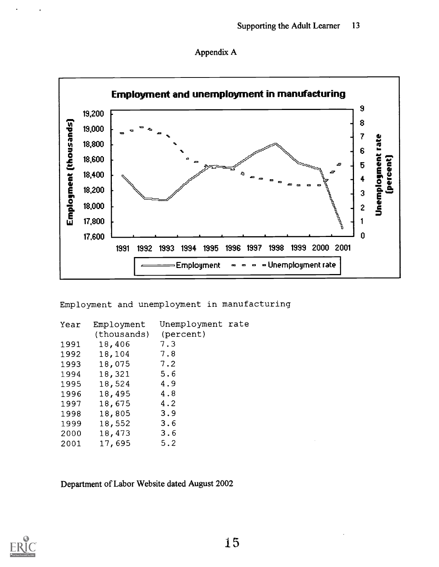



Employment and unemployment in manufacturing

| Year | Employment  | Unemployment rate |  |
|------|-------------|-------------------|--|
|      | (thousands) | (percent)         |  |
| 1991 | 18,406      | 7.3               |  |
| 1992 | 18,104      | 7.8               |  |
| 1993 | 18,075      | 7.2               |  |
| 1994 | 18,321      | 5.6               |  |
| 1995 | 18,524      | 4.9               |  |
| 1996 | 18,495      | 4.8               |  |
| 1997 | 18,675      | 4.2               |  |
| 1998 | 18,805      | 3.9               |  |
| 1999 | 18,552      | 3.6               |  |
| 2000 | 18,473      | 3.6               |  |
| 2001 | 17,695      | 5.2               |  |

Department of Labor Website dated August 2002

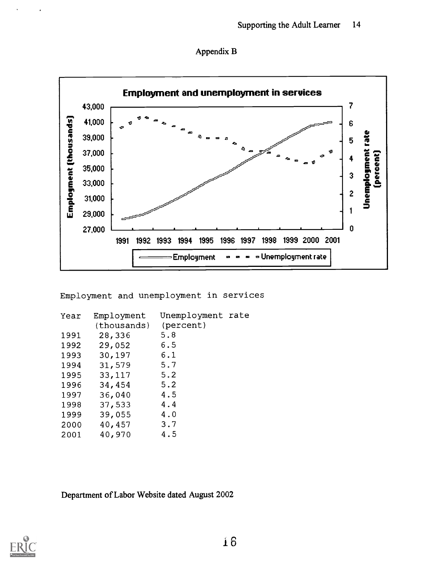



Employment and unemployment in services

| Year | Employment  | Unemployment rate |  |
|------|-------------|-------------------|--|
|      | (thousands) | (percent)         |  |
| 1991 | 28,336      | 5.8               |  |
| 1992 | 29,052      | 6.5               |  |
| 1993 | 30,197      | 6.1               |  |
| 1994 | 31,579      | 5.7               |  |
| 1995 | 33,117      | 5.2               |  |
| 1996 | 34,454      | 5.2               |  |
| 1997 | 36,040      | 4.5               |  |
| 1998 | 37,533      | 4.4               |  |
| 1999 | 39,055      | 4.0               |  |
| 2000 | 40,457      | 3.7               |  |
| 2001 | 40,970      | 4.5               |  |

Department of Labor Website dated August 2002

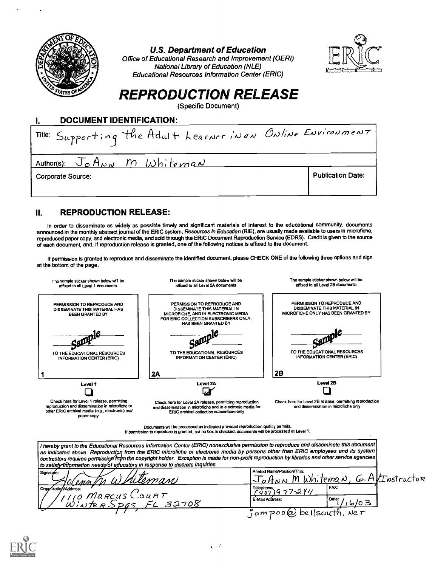

## U.S. Department of Education

Office of Educational Research and Improvement (OERI) National Library of Education (NLE) Educational Resources Information Center (ERIC)



# REPRODUCTION RELEASE

(Specific Document)



# IL REPRODUCTION RELEASE:

In order to disseminate as widely as possible timely and significant materials of interest to the educational community, documents announced in the monthly abstract journal of the ERIC system, Resources in Education (RIE), are usually made available to users In microfiche, reproduced paper copy, and electronic media, and sold through the ERIC Document Reproduction Service (EDRS). Credit is given to the source of each document, and, if reproduction release is granted, one of the following notices is affixed to the document.

If permission is granted to reproduce and disseminate the identified document, please CHECK ONE of the following three options and sign at the bottom of the page.



Documents will be processed as indicated provided reproduction quality permits. If permission to reproduce is granted, but no box is checked, documents wit be processed at Level 1.

| ∣I nereby grant to the Educational Resources Information Center (ERIC) nonexclusive permission to reproduce and disseminate this document  <br>$\lambda$ as indicated above. Reproduction from the ERIC microfiche or electronic media by persons other than ERIC employees and its system $\lambda$<br>contractors requires permission from the copyright holder. Exception is made for non-profit reproduction by libraries and other service agencies  <br>to satisfy information needs/of educators in response to discrete inquiries. |                                                                   |
|--------------------------------------------------------------------------------------------------------------------------------------------------------------------------------------------------------------------------------------------------------------------------------------------------------------------------------------------------------------------------------------------------------------------------------------------------------------------------------------------------------------------------------------------|-------------------------------------------------------------------|
| Signature:<br>Solennth Whiteman                                                                                                                                                                                                                                                                                                                                                                                                                                                                                                            | Printed Name/Position/Titla:<br>JoANN M Whiteman, G. AVINSTructor |
| Organization/Address:<br>T/110 Marcus Court<br>Winter Spas FL 32708                                                                                                                                                                                                                                                                                                                                                                                                                                                                        | FAX:<br>Telephones 9 77-2 Y11<br>E-Mail Address:<br>Date:         |
|                                                                                                                                                                                                                                                                                                                                                                                                                                                                                                                                            | $\mathfrak z$ ompoo $\mathfrak \omega$ bellsouth, we $\tau$       |